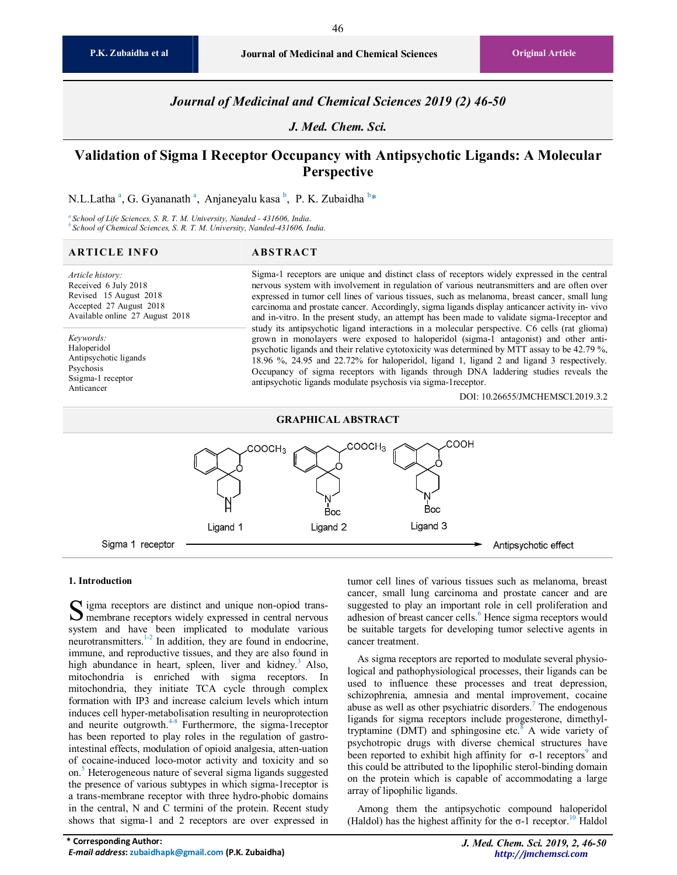46

*Journal of Medicinal and Chemical Sciences 2019 (2) 46-50* 

*J. Med. Chem. Sci.* 

# **Validation of Sigma I Receptor Occupancy with Antipsychotic Ligands: A Molecular Perspective**

N.L.Latha <sup>a</sup>, G. Gyananath <sup>a</sup>, Anjaneyalu kasa <sup>b</sup>, P. K. Zubaidha <sup>b</sup>\*

*<sup>a</sup> School of Life Sciences, S. R. T. M. University, Nanded - 431606, India. <sup>b</sup> School of Chemical Sciences, S. R. T. M. University, Nanded-431606, India.*

#### **ARTICLE INFO ABS TRACT**

*Article history:*  Received 6 July 2018 Revised 15 August 2018 Accepted 27 August 2018 Available online 27 August 2018

*Keywords:*  Haloperidol Antipsychotic ligands Psychosis Ssigma-1 receptor Anticancer

Sigma-1 receptors are unique and distinct class of receptors widely expressed in the central nervous system with involvement in regulation of various neutransmitters and are often over expressed in tumor cell lines of various tissues, such as melanoma, breast cancer, small lung carcinoma and prostate cancer. Accordingly, sigma ligands display anticancer activity in- vivo and in-vitro. In the present study, an attempt has been made to validate sigma-1receptor and study its antipsychotic ligand interactions in a molecular perspective. C6 cells (rat glioma) grown in monolayers were exposed to haloperidol (sigma-1 antagonist) and other antipsychotic ligands and their relative cytotoxicity was determined by MTT assay to be 42.79 %, 18.96 %, 24.95 and 22.72% for haloperidol, ligand 1, ligand 2 and ligand 3 respectively. Occupancy of sigma receptors with ligands through DNA laddering studies reveals the antipsychotic ligands modulate psychosis via sigma-1receptor.

DOI: 10.26655/JMCHEMSCI.2019.3.2

# **GRAPHICAL ABSTRACT**



#### **1. Introduction**

 $\Gamma$  igma receptors are distinct and unique non-opiod trans- $S$  igma receptors are distinct and unique non-opiod trans-<br>membrane receptors widely expressed in central nervous system and have been implicated to modulate various neurotransmitters. $1-2$  In addition, they are found in endocrine, immune, and reproductive tissues, and they are also found in high abundance in heart, spleen, liver and kidney.<sup>3</sup> Also, mitochondria is enriched with sigma receptors. In mitochondria, they initiate TCA cycle through complex formation with IP3 and increase calcium levels which inturn induces cell hyper-metabolisation resulting in neuroprotection and neurite outgrowth. $4-8$  Furthermore, the sigma-1 receptor has been reported to play roles in the regulation of gastrointestinal effects, modulation of opioid analgesia, atten-uation of cocaine-induced loco-motor activity and toxicity and so on.<sup>5</sup> Heterogeneous nature of several sigma ligands suggested the presence of various subtypes in which sigma-1receptor is a trans-membrane receptor with three hydro-phobic domains in the central, N and C termini of the protein. Recent study shows that sigma-1 and 2 receptors are over expressed in

tumor cell lines of various tissues such as melanoma, breast cancer, small lung carcinoma and prostate cancer and are suggested to play an important role in cell proliferation and adhesion of breast cancer cells.<sup>6</sup> Hence sigma receptors would be suitable targets for developing tumor selective agents in cancer treatment.

As sigma receptors are reported to modulate several physiological and pathophysiological processes, their ligands can be used to influence these processes and treat depression, schizophrenia, amnesia and mental improvement, cocaine abuse as well as other psychiatric disorders.<sup>7</sup> The endogenous ligands for sigma receptors include progesterone, dimethyltryptamine (DMT) and sphingosine etc.<sup>8</sup> A wide variety of psychotropic drugs with diverse chemical structures have been reported to exhibit high affinity for  $\sigma$ -1 receptors<sup>9</sup> and this could be attributed to the lipophilic sterol-binding domain on the protein which is capable of accommodating a large array of lipophilic ligands.

Among them the antipsychotic compound haloperidol (Haldol) has the highest affinity for the  $\sigma$ -1 receptor.<sup>10</sup> Haldol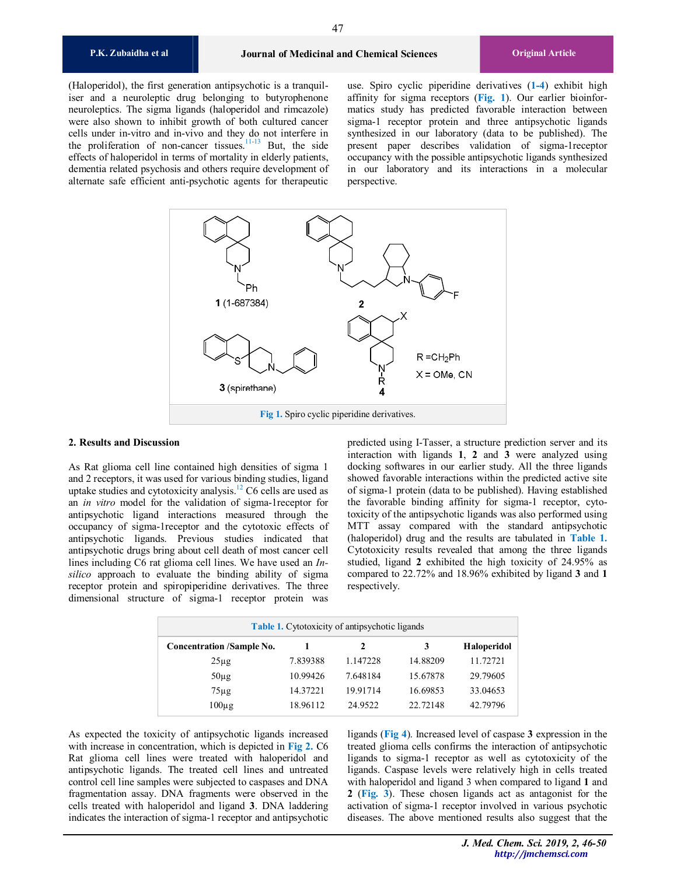(Haloperidol), the first generation antipsychotic is a tranquiliser and a neuroleptic drug belonging to butyrophenone neuroleptics. The sigma ligands (haloperidol and rimcazole) were also shown to inhibit growth of both cultured cancer cells under in-vitro and in-vivo and they do not interfere in the proliferation of non-cancer tissues.<sup>11-13</sup> But, the side effects of haloperidol in terms of mortality in elderly patients, dementia related psychosis and others require development of alternate safe efficient anti-psychotic agents for therapeutic

use. Spiro cyclic piperidine derivatives (**1-4**) exhibit high affinity for sigma receptors (**Fig. 1**). Our earlier bioinformatics study has predicted favorable interaction between sigma-1 receptor protein and three antipsychotic ligands synthesized in our laboratory (data to be published). The present paper describes validation of sigma-1receptor occupancy with the possible antipsychotic ligands synthesized in our laboratory and its interactions in a molecular perspective.



# **2. Results and Discussion**

As Rat glioma cell line contained high densities of sigma 1 and 2 receptors, it was used for various binding studies, ligand uptake studies and cytotoxicity analysis. $12 \text{ C6}$  cells are used as an *in vitro* model for the validation of sigma-1receptor for antipsychotic ligand interactions measured through the occupancy of sigma-1receptor and the cytotoxic effects of antipsychotic ligands. Previous studies indicated that antipsychotic drugs bring about cell death of most cancer cell lines including C6 rat glioma cell lines. We have used an *Insilico* approach to evaluate the binding ability of sigma receptor protein and spiropiperidine derivatives. The three dimensional structure of sigma-1 receptor protein was

predicted using I-Tasser, a structure prediction server and its interaction with ligands **1**, **2** and **3** were analyzed using docking softwares in our earlier study. All the three ligands showed favorable interactions within the predicted active site of sigma-1 protein (data to be published). Having established the favorable binding affinity for sigma-1 receptor, cytotoxicity of the antipsychotic ligands was also performed using MTT assay compared with the standard antipsychotic (haloperidol) drug and the results are tabulated in **Table 1.** Cytotoxicity results revealed that among the three ligands studied, ligand **2** exhibited the high toxicity of 24.95% as compared to 22.72% and 18.96% exhibited by ligand **3** and **1** respectively.

| <b>Table 1.</b> Cytotoxicity of antipsychotic ligands |          |          |          |                    |
|-------------------------------------------------------|----------|----------|----------|--------------------|
| <b>Concentration /Sample No.</b>                      |          | 2        | 3        | <b>Haloperidol</b> |
| $25\mu$ g                                             | 7.839388 | 1.147228 | 14.88209 | 11.72721           |
| $50\mu$ g                                             | 10.99426 | 7.648184 | 15.67878 | 29.79605           |
| $75\mu$ g                                             | 14.37221 | 19.91714 | 16.69853 | 33.04653           |
| $100\mu$ g                                            | 18.96112 | 24.9522  | 22.72148 | 42.79796           |

As expected the toxicity of antipsychotic ligands increased with increase in concentration, which is depicted in **Fig 2.** C6 Rat glioma cell lines were treated with haloperidol and antipsychotic ligands. The treated cell lines and untreated control cell line samples were subjected to caspases and DNA fragmentation assay. DNA fragments were observed in the cells treated with haloperidol and ligand **3**. DNA laddering indicates the interaction of sigma-1 receptor and antipsychotic ligands (**Fig 4**). Increased level of caspase **3** expression in the treated glioma cells confirms the interaction of antipsychotic ligands to sigma-1 receptor as well as cytotoxicity of the ligands. Caspase levels were relatively high in cells treated with haloperidol and ligand 3 when compared to ligand **1** and **2** (**Fig. 3**). These chosen ligands act as antagonist for the activation of sigma-1 receptor involved in various psychotic diseases. The above mentioned results also suggest that the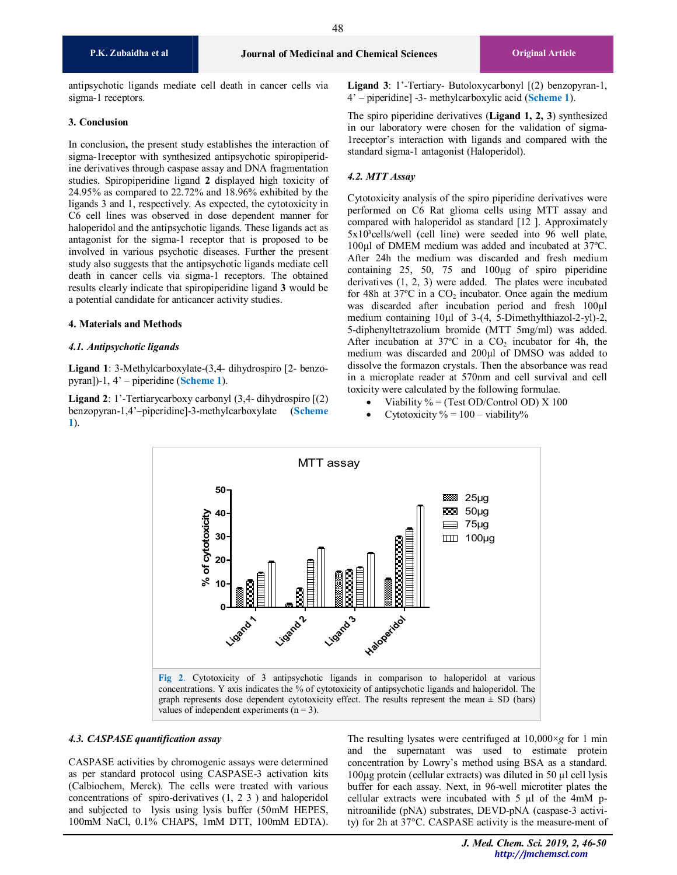48

antipsychotic ligands mediate cell death in cancer cells via sigma-1 receptors.

### **3. Conclusion**

In conclusion**,** the present study establishes the interaction of sigma-1receptor with synthesized antipsychotic spiropiperidine derivatives through caspase assay and DNA fragmentation studies. Spiropiperidine ligand **2** displayed high toxicity of 24.95% as compared to 22.72% and 18.96% exhibited by the ligands 3 and 1, respectively. As expected, the cytotoxicity in C6 cell lines was observed in dose dependent manner for haloperidol and the antipsychotic ligands. These ligands act as antagonist for the sigma-1 receptor that is proposed to be involved in various psychotic diseases. Further the present study also suggests that the antipsychotic ligands mediate cell death in cancer cells via sigma-1 receptors. The obtained results clearly indicate that spiropiperidine ligand **3** would be a potential candidate for anticancer activity studies.

# **4. Materials and Methods**

### *4.1. Antipsychotic ligands*

**Ligand 1**: 3-Methylcarboxylate-(3,4- dihydrospiro [2- benzopyran])-1, 4' – piperidine (**Scheme 1**).

**Ligand 2**: 1'-Tertiarycarboxy carbonyl (3,4- dihydrospiro [(2) benzopyran-1,4'–piperidine]-3-methylcarboxylate (**Scheme 1**).

**Ligand 3**: 1'-Tertiary- Butoloxycarbonyl [(2) benzopyran-1, 4' – piperidine] -3- methylcarboxylic acid (**Scheme 1**).

The spiro piperidine derivatives (**Ligand 1, 2, 3**) synthesized in our laboratory were chosen for the validation of sigma-1receptor's interaction with ligands and compared with the standard sigma-1 antagonist (Haloperidol).

# *4.2. MTT Assay*

Cytotoxicity analysis of the spiro piperidine derivatives were performed on C6 Rat glioma cells using MTT assay and compared with haloperidol as standard [12 ]. Approximately 5x10<sup>3</sup>cells/well (cell line) were seeded into 96 well plate, 100µl of DMEM medium was added and incubated at 37ºC. After 24h the medium was discarded and fresh medium containing 25, 50, 75 and 100µg of spiro piperidine derivatives (1, 2, 3) were added. The plates were incubated for 48h at 37 $\degree$ C in a CO<sub>2</sub> incubator. Once again the medium was discarded after incubation period and fresh 100µl medium containing 10µl of 3-(4, 5-Dimethylthiazol-2-yl)-2, 5-diphenyltetrazolium bromide (MTT 5mg/ml) was added. After incubation at  $37^{\circ}$ C in a  $CO_2$  incubator for 4h, the medium was discarded and 200µl of DMSO was added to dissolve the formazon crystals. Then the absorbance was read in a microplate reader at 570nm and cell survival and cell toxicity were calculated by the following formulae.

- Viability  $% =$  (Test OD/Control OD) X 100
- Cytotoxicity  $\% = 100 \text{viability\%}$



### *4.3. CASPASE quantification assay*

CASPASE activities by chromogenic assays were determined as per standard protocol using CASPASE-3 activation kits (Calbiochem, Merck). The cells were treated with various concentrations of spiro-derivatives (1, 2 3 ) and haloperidol and subjected to lysis using lysis buffer (50mM HEPES, 100mM NaCl, 0.1% CHAPS, 1mM DTT, 100mM EDTA).

The resulting lysates were centrifuged at 10,000×*g* for 1 min and the supernatant was used to estimate protein concentration by Lowry's method using BSA as a standard. 100µg protein (cellular extracts) was diluted in 50 µl cell lysis buffer for each assay. Next, in 96-well microtiter plates the cellular extracts were incubated with  $5 \mu l$  of the 4mM pnitroanilide (pNA) substrates, DEVD-pNA (caspase-3 activity) for 2h at 37°C. CASPASE activity is the measure-ment of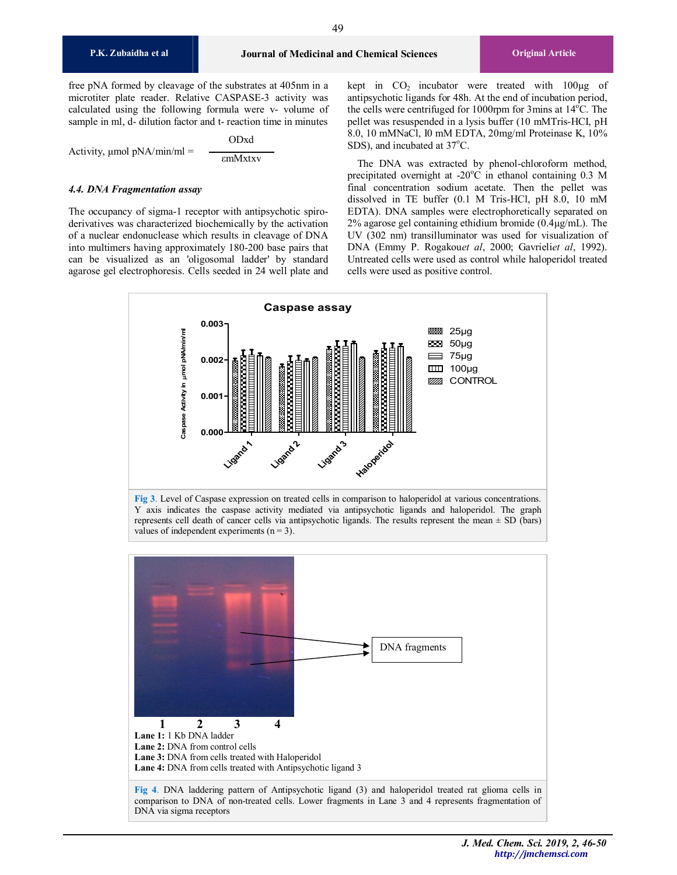free pNA formed by cleavage of the substrates at 405nm in a microtiter plate reader. Relative CASPASE-3 activity was calculated using the following formula were v- volume of sample in ml, d- dilution factor and t- reaction time in minutes

Activity, μmol pNA/min/ml = ODxd εmMxtxv

#### *4.4. DNA Fragmentation assay*

The occupancy of sigma-1 receptor with antipsychotic spiroderivatives was characterized biochemically by the activation of a nuclear endonuclease which results in cleavage of DNA into multimers having approximately 180-200 base pairs that can be visualized as an 'oligosomal ladder' by standard agarose gel electrophoresis. Cells seeded in 24 well plate and kept in  $CO<sub>2</sub>$  incubator were treated with  $100\mu g$  of antipsychotic ligands for 48h. At the end of incubation period, the cells were centrifuged for 1000rpm for 3mins at  $14^{\circ}$ C. The pellet was resuspended in a lysis buffer (10 mMTris-HCI, pH 8.0, 10 mMNaCl, I0 mM EDTA, 20mg/ml Proteinase K, 10% SDS), and incubated at 37°C.

The DNA was extracted by phenol-chloroform method, precipitated overnight at -20 $^{\circ}$ C in ethanol containing 0.3 M final concentration sodium acetate. Then the pellet was dissolved in TE buffer (0.1 M Tris-HCl, pH 8.0, 10 mM EDTA). DNA samples were electrophoretically separated on 2% agarose gel containing ethidium bromide  $(0.4\mu g/mL)$ . The UV (302 nm) transilluminator was used for visualization of DNA (Emmy P. Rogakou*et al*, 2000; Gavrieli*et al*, 1992). Untreated cells were used as control while haloperidol treated cells were used as positive control.



**Fig 3**. Level of Caspase expression on treated cells in comparison to haloperidol at various concentrations. Y axis indicates the caspase activity mediated via antipsychotic ligands and haloperidol. The graph represents cell death of cancer cells via antipsychotic ligands. The results represent the mean  $\pm$  SD (bars) values of independent experiments  $(n = 3)$ .